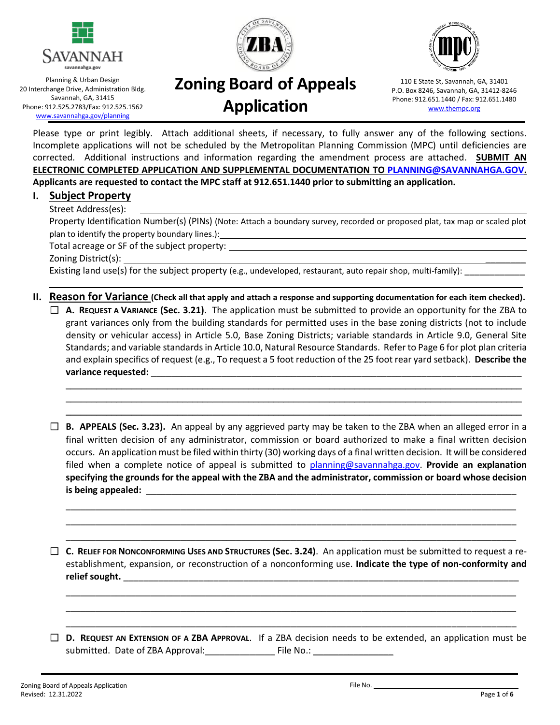





Planning & Urban Design 20 Interchange Drive, Administration Bldg. Savannah, GA, 31415 Phone: 912.525.2783/Fax: 912.525.1562 [www.savannahga.gov/planning](http://www.savannahga.gov/planning)

# **Zoning Board of Appeals Application**

110 E State St, Savannah, GA, 31401 P.O. Box 8246, Savannah, GA, 31412-8246 Phone: 912.651.1440 / Fax: 912.651.1480 [www.thempc.org](http://www.thempc.org/)

Please type or print legibly. Attach additional sheets, if necessary, to fully answer any of the following sections. Incomplete applications will not be scheduled by the Metropolitan Planning Commission (MPC) until deficiencies are corrected. Additional instructions and information regarding the amendment process are attached. **SUBMIT AN ELECTRONIC COMPLETED APPLICATION AND SUPPLEMENTAL DOCUMENTATION TO [PLANNING@SAVANNAHGA.GOV.](mailto:PLANNING@SAVANNAHGA.GOV) Applicants are requested to contact the MPC staff at 912.651.1440 prior to submitting an application.**

#### **I. Subject Property**

#### Street Address(es):

Property Identification Number(s) (PINs) (Note: Attach a boundary survey, recorded or proposed plat, tax map or scaled plot plan to identify the property boundary lines.): \_\_\_\_\_\_\_\_\_\_\_\_\_\_\_\_\_\_\_\_\_\_\_\_\_\_\_\_\_\_\_\_

Total acreage or SF of the subject property:

Zoning District(s): \_\_\_\_\_\_\_\_

Existing land use(s) for the subject property (e.g., undeveloped, restaurant, auto repair shop, multi-family):

#### **II. Reason for Variance (Check all that apply and attach a response and supporting documentation for each item checked).**

☐ **A. REQUEST A VARIANCE (Sec. 3.21)**. The application must be submitted to provide an opportunity for the ZBA to grant variances only from the building standards for permitted uses in the base zoning districts (not to include density or vehicular access) in Article 5.0, Base Zoning Districts; variable standards in Article 9.0, General Site Standards; and variable standards in Article 10.0, Natural Resource Standards. Refer to Page 6 for plot plan criteria and explain specifics of request (e.g., To request a 5 foot reduction of the 25 foot rear yard setback). **Describe the**  variance requested:

 $\mathcal{L}_\text{max} = \mathcal{L}_\text{max} = \mathcal{L}_\text{max} = \mathcal{L}_\text{max} = \mathcal{L}_\text{max} = \mathcal{L}_\text{max} = \mathcal{L}_\text{max} = \mathcal{L}_\text{max} = \mathcal{L}_\text{max} = \mathcal{L}_\text{max} = \mathcal{L}_\text{max} = \mathcal{L}_\text{max} = \mathcal{L}_\text{max} = \mathcal{L}_\text{max} = \mathcal{L}_\text{max} = \mathcal{L}_\text{max} = \mathcal{L}_\text{max} = \mathcal{L}_\text{max} = \mathcal{$  $\overline{\phantom{a}}$  ,  $\overline{\phantom{a}}$  ,  $\overline{\phantom{a}}$  ,  $\overline{\phantom{a}}$  ,  $\overline{\phantom{a}}$  ,  $\overline{\phantom{a}}$  ,  $\overline{\phantom{a}}$  ,  $\overline{\phantom{a}}$  ,  $\overline{\phantom{a}}$  ,  $\overline{\phantom{a}}$  ,  $\overline{\phantom{a}}$  ,  $\overline{\phantom{a}}$  ,  $\overline{\phantom{a}}$  ,  $\overline{\phantom{a}}$  ,  $\overline{\phantom{a}}$  ,  $\overline{\phantom{a}}$ \_\_\_\_\_\_\_\_\_\_\_\_\_\_\_\_\_\_\_\_\_\_\_\_\_\_\_\_\_\_\_\_\_\_\_\_\_\_\_\_\_\_\_\_\_\_\_\_\_\_\_\_\_\_\_\_\_\_\_\_\_\_\_\_\_\_\_\_\_\_\_\_\_\_\_\_\_\_\_\_\_\_\_\_\_\_\_\_\_\_

☐ **B. APPEALS (Sec. 3.23).** An appeal by any aggrieved party may be taken to the ZBA when an alleged error in a final written decision of any administrator, commission or board authorized to make a final written decision occurs. An application must be filed within thirty (30) working days of a final written decision. It will be considered filed when a complete notice of appeal is submitted to [planning@savannahga.gov.](mailto:planning@savannahga.gov) **Provide an explanation specifying the grounds for the appeal with the ZBA and the administrator, commission or board whose decision**  is being appealed:

\_\_\_\_\_\_\_\_\_\_\_\_\_\_\_\_\_\_\_\_\_\_\_\_\_\_\_\_\_\_\_\_\_\_\_\_\_\_\_\_\_\_\_\_\_\_\_\_\_\_\_\_\_\_\_\_\_\_\_\_\_\_\_\_\_\_\_\_\_\_\_\_\_\_\_\_\_\_\_\_\_\_\_\_\_\_\_\_\_\_ \_\_\_\_\_\_\_\_\_\_\_\_\_\_\_\_\_\_\_\_\_\_\_\_\_\_\_\_\_\_\_\_\_\_\_\_\_\_\_\_\_\_\_\_\_\_\_\_\_\_\_\_\_\_\_\_\_\_\_\_\_\_\_\_\_\_\_\_\_\_\_\_\_\_\_\_\_\_\_\_\_\_\_\_\_\_\_\_\_\_ \_\_\_\_\_\_\_\_\_\_\_\_\_\_\_\_\_\_\_\_\_\_\_\_\_\_\_\_\_\_\_\_\_\_\_\_\_\_\_\_\_\_\_\_\_\_\_\_\_\_\_\_\_\_\_\_\_\_\_\_\_\_\_\_\_\_\_\_\_\_\_\_\_\_\_\_\_\_\_\_\_\_\_\_\_\_\_\_\_\_

□ **C.** RELIEF FOR NONCONFORMING USES AND STRUCTURES (Sec. 3.24). An application must be submitted to request a reestablishment, expansion, or reconstruction of a nonconforming use. **Indicate the type of non-conformity and**  relief sought.

\_\_\_\_\_\_\_\_\_\_\_\_\_\_\_\_\_\_\_\_\_\_\_\_\_\_\_\_\_\_\_\_\_\_\_\_\_\_\_\_\_\_\_\_\_\_\_\_\_\_\_\_\_\_\_\_\_\_\_\_\_\_\_\_\_\_\_\_\_\_\_\_\_\_\_\_\_\_\_\_\_\_\_\_\_\_\_\_\_\_ \_\_\_\_\_\_\_\_\_\_\_\_\_\_\_\_\_\_\_\_\_\_\_\_\_\_\_\_\_\_\_\_\_\_\_\_\_\_\_\_\_\_\_\_\_\_\_\_\_\_\_\_\_\_\_\_\_\_\_\_\_\_\_\_\_\_\_\_\_\_\_\_\_\_\_\_\_\_\_\_\_\_\_\_\_\_\_\_\_\_ \_\_\_\_\_\_\_\_\_\_\_\_\_\_\_\_\_\_\_\_\_\_\_\_\_\_\_\_\_\_\_\_\_\_\_\_\_\_\_\_\_\_\_\_\_\_\_\_\_\_\_\_\_\_\_\_\_\_\_\_\_\_\_\_\_\_\_\_\_\_\_\_\_\_\_\_\_\_\_\_\_\_\_\_\_\_\_\_\_\_

☐ **D. REQUEST AN EXTENSION OF A ZBA APPROVAL**. If a ZBA decision needs to be extended, an application must be submitted. Date of ZBA Approval: File No.: Ele No.: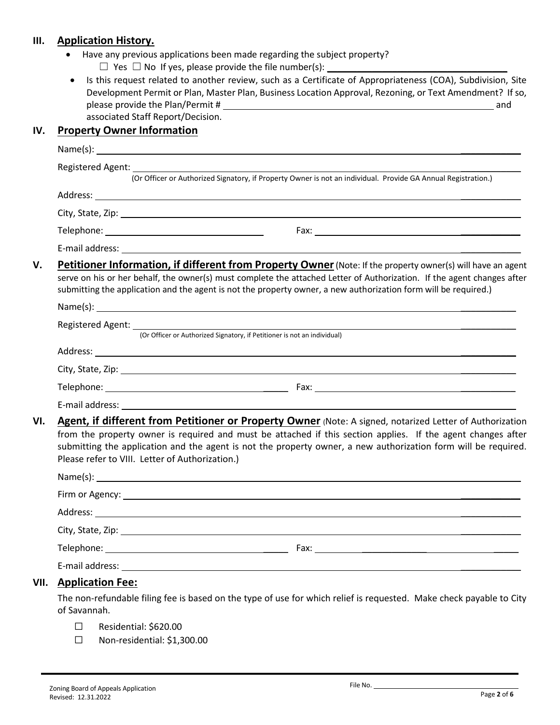### **III. Application History.**

- Have any previous applications been made regarding the subject property?
	- $\Box$  Yes  $\Box$  No If yes, please provide the file number(s):
- Is this request related to another review, such as a Certificate of Appropriateness (COA), Subdivision, Site Development Permit or Plan, Master Plan, Business Location Approval, Rezoning, or Text Amendment? If so, please provide the Plan/Permit # and associated Staff Report/Decision.

#### **IV. Property Owner Information**

| Registered Agent: |                                                                                                                                                                                                                                                                                                                                                                                               |
|-------------------|-----------------------------------------------------------------------------------------------------------------------------------------------------------------------------------------------------------------------------------------------------------------------------------------------------------------------------------------------------------------------------------------------|
|                   | (Or Officer or Authorized Signatory, if Property Owner is not an individual. Provide GA Annual Registration.)                                                                                                                                                                                                                                                                                 |
|                   |                                                                                                                                                                                                                                                                                                                                                                                               |
|                   |                                                                                                                                                                                                                                                                                                                                                                                               |
|                   |                                                                                                                                                                                                                                                                                                                                                                                               |
|                   | E-mail address: <u>Example 2008</u>                                                                                                                                                                                                                                                                                                                                                           |
|                   | Petitioner Information, if different from Property Owner (Note: If the property owner(s) will have an agent<br>serve on his or her behalf, the owner(s) must complete the attached Letter of Authorization. If the agent changes after<br>submitting the application and the agent is not the property owner, a new authorization form will be required.)                                     |
|                   |                                                                                                                                                                                                                                                                                                                                                                                               |
|                   | Registered Agent: [Or Officer or Authorized Signatory, if Petitioner is not an individual)                                                                                                                                                                                                                                                                                                    |
|                   |                                                                                                                                                                                                                                                                                                                                                                                               |
|                   |                                                                                                                                                                                                                                                                                                                                                                                               |
|                   |                                                                                                                                                                                                                                                                                                                                                                                               |
|                   |                                                                                                                                                                                                                                                                                                                                                                                               |
| VI.               | Agent, if different from Petitioner or Property Owner (Note: A signed, notarized Letter of Authorization<br>from the property owner is required and must be attached if this section applies. If the agent changes after<br>submitting the application and the agent is not the property owner, a new authorization form will be required.<br>Please refer to VIII. Letter of Authorization.) |
|                   |                                                                                                                                                                                                                                                                                                                                                                                               |
|                   |                                                                                                                                                                                                                                                                                                                                                                                               |
|                   |                                                                                                                                                                                                                                                                                                                                                                                               |
|                   |                                                                                                                                                                                                                                                                                                                                                                                               |
|                   |                                                                                                                                                                                                                                                                                                                                                                                               |
|                   |                                                                                                                                                                                                                                                                                                                                                                                               |
|                   |                                                                                                                                                                                                                                                                                                                                                                                               |

of Savannah.

- ☐ Residential: \$620.00
- ☐ Non-residential: \$1,300.00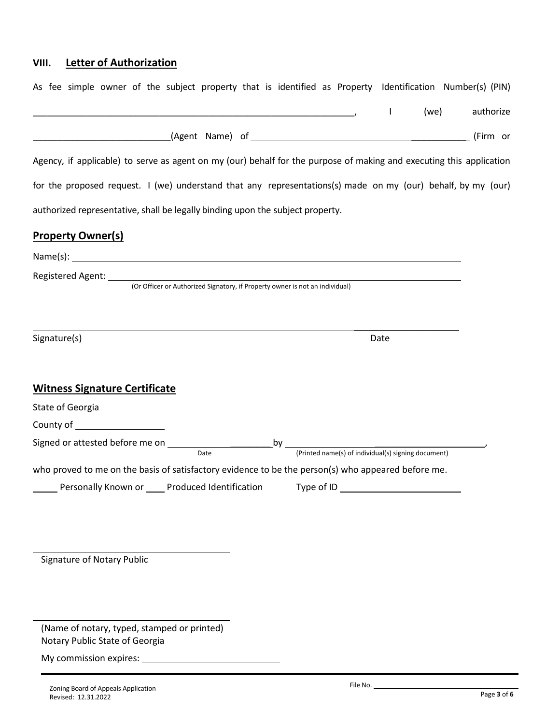# **VIII. Letter of Authorization**

|                                                                                                                      | $\mathbf{I}$ | (we) | authorize |
|----------------------------------------------------------------------------------------------------------------------|--------------|------|-----------|
|                                                                                                                      |              |      |           |
| Agency, if applicable) to serve as agent on my (our) behalf for the purpose of making and executing this application |              |      |           |
| for the proposed request. I (we) understand that any representations(s) made on my (our) behalf, by my (our)         |              |      |           |
| authorized representative, shall be legally binding upon the subject property.                                       |              |      |           |
| <b>Property Owner(s)</b>                                                                                             |              |      |           |
| $Name(s):$ $\qquad \qquad$                                                                                           |              |      |           |
|                                                                                                                      |              |      |           |
|                                                                                                                      |              |      |           |
|                                                                                                                      |              |      |           |
| Signature(s)                                                                                                         | Date         |      |           |
|                                                                                                                      |              |      |           |
| <b>Witness Signature Certificate</b>                                                                                 |              |      |           |
| State of Georgia                                                                                                     |              |      |           |
|                                                                                                                      |              |      |           |
|                                                                                                                      |              |      |           |
|                                                                                                                      |              |      |           |
| who proved to me on the basis of satisfactory evidence to be the person(s) who appeared before me.                   |              |      |           |
| Personally Known or _____ Produced Identification Type of ID                                                         |              |      |           |
|                                                                                                                      |              |      |           |
|                                                                                                                      |              |      |           |
|                                                                                                                      |              |      |           |

(Name of notary, typed, stamped or printed) Notary Public State of Georgia

My commission expires: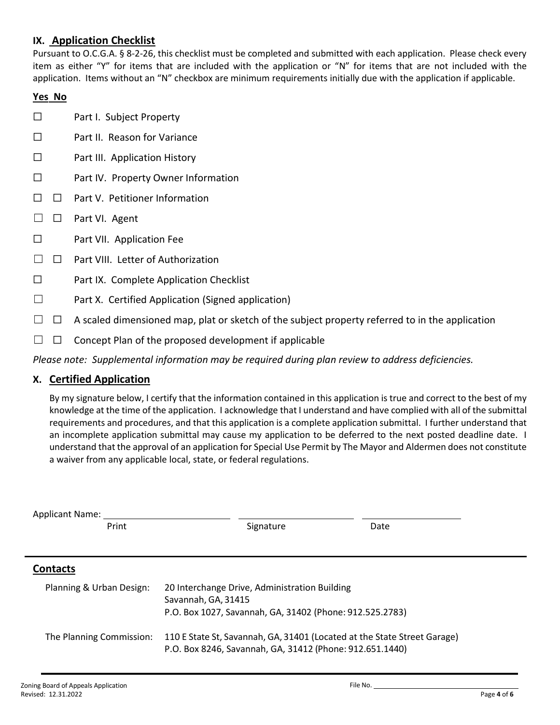## **IX. Application Checklist**

Pursuant to O.C.G.A. § 8-2-26, this checklist must be completed and submitted with each application. Please check every item as either "Y" for items that are included with the application or "N" for items that are not included with the application. Items without an "N" checkbox are minimum requirements initially due with the application if applicable.

#### **Yes No**

- ☐ Part I. Subject Property
- ☐ Part II. Reason for Variance
- ☐ Part III. Application History
- ☐ Part IV. Property Owner Information
- ☐ ☐ Part V. Petitioner Information
- □ □ Part VI. Agent
- ☐ Part VII. Application Fee
- ☐ ☐ Part VIII. Letter of Authorization
- ☐ Part IX. Complete Application Checklist
- ☐ Part X. Certified Application (Signed application)
- $\Box$   $\Box$  A scaled dimensioned map, plat or sketch of the subject property referred to in the application
- $\Box$   $\Box$  Concept Plan of the proposed development if applicable

*Please note: Supplemental information may be required during plan review to address deficiencies.*

#### **X. Certified Application**

By my signature below, I certify that the information contained in this application is true and correct to the best of my knowledge at the time of the application. I acknowledge that I understand and have complied with all of the submittal requirements and procedures, and that this application is a complete application submittal. I further understand that an incomplete application submittal may cause my application to be deferred to the next posted deadline date. I understand that the approval of an application for Special Use Permit by The Mayor and Aldermen does not constitute a waiver from any applicable local, state, or federal regulations.

| <b>Applicant Name:</b>   |                                                                                                                                      |      |  |  |  |
|--------------------------|--------------------------------------------------------------------------------------------------------------------------------------|------|--|--|--|
| Print                    | Signature                                                                                                                            | Date |  |  |  |
|                          |                                                                                                                                      |      |  |  |  |
| <b>Contacts</b>          |                                                                                                                                      |      |  |  |  |
| Planning & Urban Design: | 20 Interchange Drive, Administration Building<br>Savannah, GA, 31415                                                                 |      |  |  |  |
|                          | P.O. Box 1027, Savannah, GA, 31402 (Phone: 912.525.2783)                                                                             |      |  |  |  |
| The Planning Commission: | 110 E State St, Savannah, GA, 31401 (Located at the State Street Garage)<br>P.O. Box 8246, Savannah, GA, 31412 (Phone: 912.651.1440) |      |  |  |  |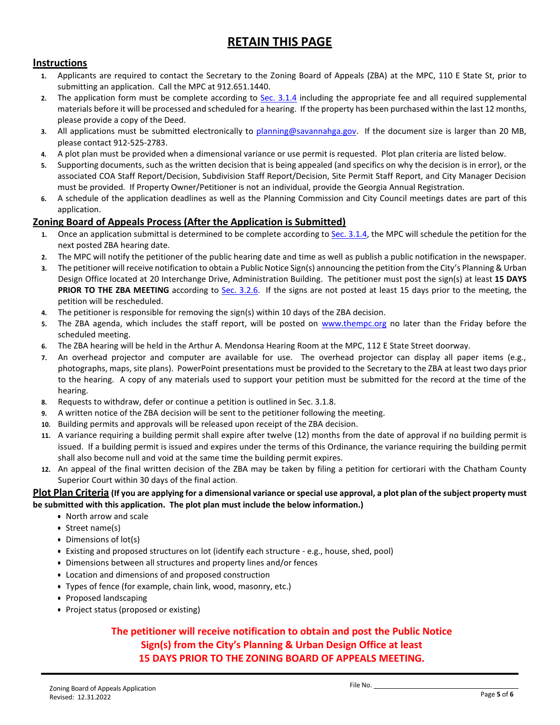# **RETAIN THIS PAGE**

#### **Instructions**

- **1.** Applicants are required to contact the Secretary to the Zoning Board of Appeals (ZBA) at the MPC, 110 E State St, prior to submitting an application. Call the MPC at 912.651.1440.
- **2.** The application form must be complete according to [Sec. 3.1.4](http://online.encodeplus.com/regs/savannah-ga/doc-viewer.aspx#secid-5100) including the appropriate fee and all required supplemental materials before it will be processed and scheduled for a hearing. If the property has been purchased within the last 12 months, please provide a copy of the Deed.
- **3.** All applications must be submitted electronically to [planning@savannahga.gov.](mailto:planning@savannahga.gov) If the document size is larger than 20 MB, please contact 912-525-2783.
- **4.** A plot plan must be provided when a dimensional variance or use permit is requested. Plot plan criteria are listed below.
- **5.** Supporting documents, such as the written decision that is being appealed (and specifics on why the decision is in error), or the associated COA Staff Report/Decision, Subdivision Staff Report/Decision, Site Permit Staff Report, and City Manager Decision must be provided. If Property Owner/Petitioner is not an individual, provide the Georgia Annual Registration.
- **6.** A schedule of the application deadlines as well as the Planning Commission and City Council meetings dates are part of this application.

#### **Zoning Board of Appeals Process (After the Application is Submitted)**

- **1.** Once an application submittal is determined to be complete according t[o Sec. 3.1.4,](http://online.encodeplus.com/regs/savannah-ga/doc-viewer.aspx#secid-5100) the MPC will schedule the petition for the next posted ZBA hearing date.
- **2.** The MPC will notify the petitioner of the public hearing date and time as well as publish a public notification in the newspaper.
- **3.** The petitioner will receive notification to obtain a Public Notice Sign(s) announcing the petition from the City's Planning & Urban Design Office located at 20 Interchange Drive, Administration Building. The petitioner must post the sign(s) at least **15 DAYS PRIOR TO THE ZBA MEETING** according to [Sec. 3.2.6.](http://online.encodeplus.com/regs/savannah-ga/doc-viewer.aspx#secid-5108) If the signs are not posted at least 15 days prior to the meeting, the petition will be rescheduled.
- **4.** The petitioner is responsible for removing the sign(s) within 10 days of the ZBA decision.
- **5.** The ZBA agenda, which includes the staff report, will be posted on [www.thempc.org](http://www.thempc.org/) no later than the Friday before the scheduled meeting.
- **6.** The ZBA hearing will be held in the Arthur A. Mendonsa Hearing Room at the MPC, 112 E State Street doorway.
- **7.** An overhead projector and computer are available for use. The overhead projector can display all paper items (e.g., photographs, maps, site plans). PowerPoint presentations must be provided to the Secretary to the ZBA at least two days prior to the hearing. A copy of any materials used to support your petition must be submitted for the record at the time of the hearing.
- **8.** Requests to withdraw, defer or continue a petition is outlined in Sec. 3.1.8.
- **9.** A written notice of the ZBA decision will be sent to the petitioner following the meeting.
- **10.** Building permits and approvals will be released upon receipt of the ZBA decision.
- **11.** A variance requiring a building permit shall expire after twelve (12) months from the date of approval if no building permit is issued. If a building permit is issued and expires under the terms of this Ordinance, the variance requiring the building permit shall also become null and void at the same time the building permit expires.
- **12.** An appeal of the final written decision of the ZBA may be taken by filing a petition for certiorari with the Chatham County Superior Court within 30 days of the final action.

#### **Plot Plan Criteria (If you are applying for a dimensional variance or special use approval, a plot plan of the subject property must be submitted with this application. The plot plan must include the below information.)**

- North arrow and scale
- Street name(s)
- Dimensions of lot(s)
- Existing and proposed structures on lot (identify each structure e.g., house, shed, pool)
- Dimensions between all structures and property lines and/or fences
- Location and dimensions of and proposed construction
- Types of fence (for example, chain link, wood, masonry, etc.)
- Proposed landscaping
- Project status (proposed or existing)

### **The petitioner will receive notification to obtain and post the Public Notice Sign(s) from the City's Planning & Urban Design Office at least 15 DAYS PRIOR TO THE ZONING BOARD OF APPEALS MEETING.**